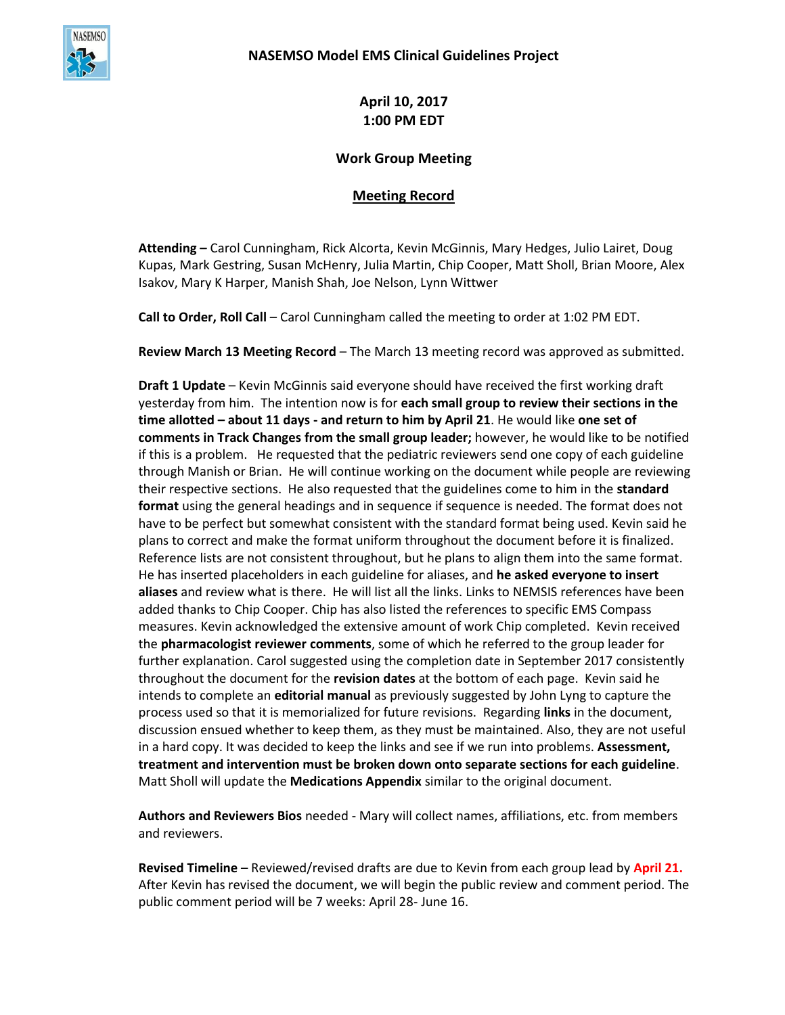

**April 10, 2017 1:00 PM EDT**

## **Work Group Meeting**

## **Meeting Record**

**Attending –** Carol Cunningham, Rick Alcorta, Kevin McGinnis, Mary Hedges, Julio Lairet, Doug Kupas, Mark Gestring, Susan McHenry, Julia Martin, Chip Cooper, Matt Sholl, Brian Moore, Alex Isakov, Mary K Harper, Manish Shah, Joe Nelson, Lynn Wittwer

**Call to Order, Roll Call** – Carol Cunningham called the meeting to order at 1:02 PM EDT.

**Review March 13 Meeting Record** – The March 13 meeting record was approved as submitted.

**Draft 1 Update** – Kevin McGinnis said everyone should have received the first working draft yesterday from him. The intention now is for **each small group to review their sections in the time allotted – about 11 days - and return to him by April 21**. He would like **one set of comments in Track Changes from the small group leader;** however, he would like to be notified if this is a problem. He requested that the pediatric reviewers send one copy of each guideline through Manish or Brian. He will continue working on the document while people are reviewing their respective sections. He also requested that the guidelines come to him in the **standard format** using the general headings and in sequence if sequence is needed. The format does not have to be perfect but somewhat consistent with the standard format being used. Kevin said he plans to correct and make the format uniform throughout the document before it is finalized. Reference lists are not consistent throughout, but he plans to align them into the same format. He has inserted placeholders in each guideline for aliases, and **he asked everyone to insert aliases** and review what is there. He will list all the links. Links to NEMSIS references have been added thanks to Chip Cooper. Chip has also listed the references to specific EMS Compass measures. Kevin acknowledged the extensive amount of work Chip completed. Kevin received the **pharmacologist reviewer comments**, some of which he referred to the group leader for further explanation. Carol suggested using the completion date in September 2017 consistently throughout the document for the **revision dates** at the bottom of each page. Kevin said he intends to complete an **editorial manual** as previously suggested by John Lyng to capture the process used so that it is memorialized for future revisions. Regarding **links** in the document, discussion ensued whether to keep them, as they must be maintained. Also, they are not useful in a hard copy. It was decided to keep the links and see if we run into problems. **Assessment, treatment and intervention must be broken down onto separate sections for each guideline**. Matt Sholl will update the **Medications Appendix** similar to the original document.

**Authors and Reviewers Bios** needed - Mary will collect names, affiliations, etc. from members and reviewers.

**Revised Timeline** – Reviewed/revised drafts are due to Kevin from each group lead by **April 21.** After Kevin has revised the document, we will begin the public review and comment period. The public comment period will be 7 weeks: April 28- June 16.